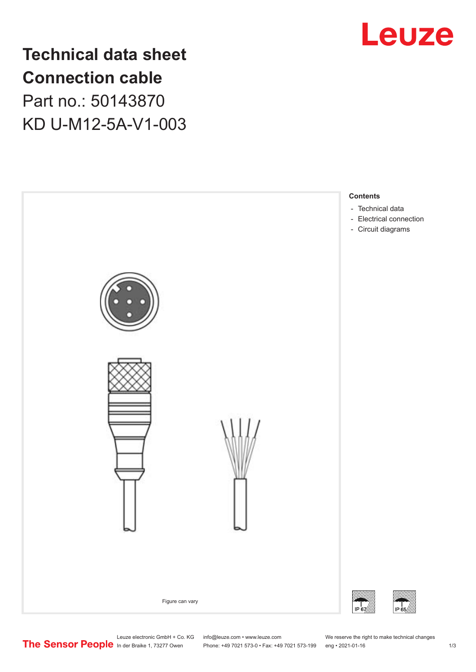

## **Technical data sheet Connection cable** Part no.: 50143870 KD U-M12-5A-V1-003



Leuze electronic GmbH + Co. KG info@leuze.com • www.leuze.com We reserve the right to make technical changes<br>
The Sensor People in der Braike 1, 73277 Owen Phone: +49 7021 573-0 • Fax: +49 7021 573-199 eng • 2021-01-16

Phone: +49 7021 573-0 • Fax: +49 7021 573-199 eng • 2021-01-16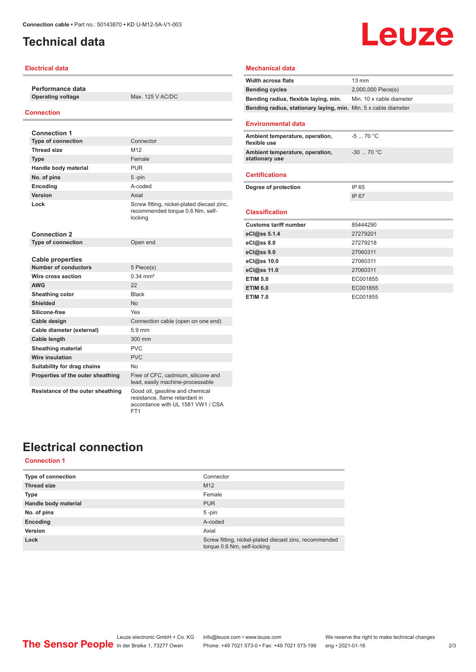## <span id="page-1-0"></span>**Technical data**

#### **Electrical data**

**Performance data**

**Operating voltage** Max. 125 V AC/DC

#### **Connection**

| <b>Connection 1</b>               |                                                                                                        |
|-----------------------------------|--------------------------------------------------------------------------------------------------------|
| <b>Type of connection</b>         | Connector                                                                                              |
| <b>Thread size</b>                | M <sub>12</sub>                                                                                        |
| <b>Type</b>                       | Female                                                                                                 |
| Handle body material              | <b>PUR</b>                                                                                             |
| No. of pins                       | $5 - pin$                                                                                              |
| Encoding                          | A-coded                                                                                                |
| Version                           | Axial                                                                                                  |
| Lock                              | Screw fitting, nickel-plated diecast zinc,<br>recommended torque 0.6 Nm, self-<br>locking              |
| <b>Connection 2</b>               |                                                                                                        |
| <b>Type of connection</b>         | Open end                                                                                               |
|                                   |                                                                                                        |
| <b>Cable properties</b>           |                                                                                                        |
| <b>Number of conductors</b>       | 5 Piece(s)                                                                                             |
| Wire cross section                | $0.34 \, \text{mm}^2$                                                                                  |
| <b>AWG</b>                        | 22                                                                                                     |
| <b>Sheathing color</b>            | <b>Black</b>                                                                                           |
| Shielded                          | <b>No</b>                                                                                              |
| Silicone-free                     | Yes                                                                                                    |
| Cable design                      | Connection cable (open on one end)                                                                     |
| Cable diameter (external)         | 5.9 mm                                                                                                 |
| Cable length                      | 300 mm                                                                                                 |
| <b>Sheathing material</b>         | PVC                                                                                                    |
| <b>Wire insulation</b>            | PVC                                                                                                    |
| Suitability for drag chains       | No                                                                                                     |
| Properties of the outer sheathing | Free of CFC, cadmium, silicone and<br>lead, easily machine-processable                                 |
| Resistance of the outer sheathing | Good oil, gasoline and chemical<br>resistance, flame retardant in<br>accordance with UL 1581 VW1 / CSA |

FT1

#### **Width across flats** 13 mm **Bending cycles** 2,000,000 Piece(s) **Bending radius, flexible laying, min.** Min. 10 x cable diameter **Bending radius, stationary laying, min.** Min. 5 x cable diameter **Environmental data Ambient temperature, operation, flexible use** -5 ... 70 °C **Ambient temperature, operation, stationary use** -30 ... 70 °C **Certifications Degree of protection** IP 65 IP 67 **Classification Customs tariff number** 85444290 **eCl@ss 5.1.4** 27279201

Leuze

**Mechanical data**

| eCl@ss 5.1.4    | 27279201 |
|-----------------|----------|
| eCl@ss 8.0      | 27279218 |
| eCl@ss 9.0      | 27060311 |
| eCl@ss 10.0     | 27060311 |
| eCl@ss 11.0     | 27060311 |
| <b>ETIM 5.0</b> | EC001855 |
| <b>ETIM 6.0</b> | EC001855 |
| <b>ETIM 7.0</b> | EC001855 |

## **Electrical connection**

#### **Connection 1**

| <b>Type of connection</b> | Connector                                                                             |
|---------------------------|---------------------------------------------------------------------------------------|
| <b>Thread size</b>        | M <sub>12</sub>                                                                       |
| <b>Type</b>               | Female                                                                                |
| Handle body material      | <b>PUR</b>                                                                            |
| No. of pins               | $5$ -pin                                                                              |
| Encoding                  | A-coded                                                                               |
| Version                   | Axial                                                                                 |
| Lock                      | Screw fitting, nickel-plated diecast zinc, recommended<br>torque 0.6 Nm, self-locking |